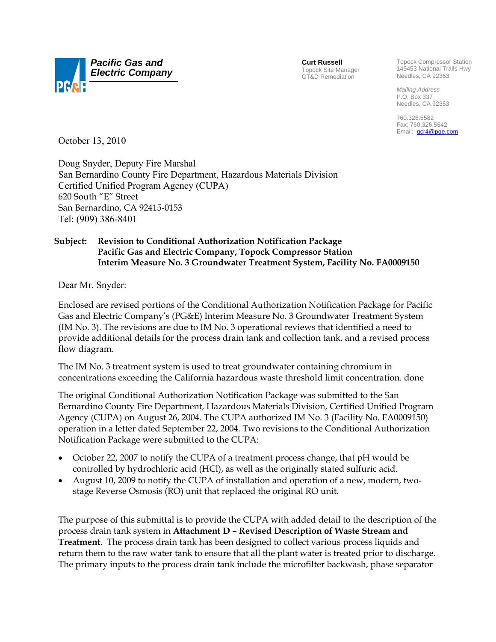

**Curt Russell** Topock Site Manager GT&D Remediation

Topock Compressor Station 145453 National Trails Hwy Needles, CA 92363

*Mailing Address*  P.O. Box 337 Needles, CA 92363

760.326.5582 Fax: 760.326.5542 Email: **gcr4@pge.com** 

October 13, 2010

Doug Snyder, Deputy Fire Marshal San Bernardino County Fire Department, Hazardous Materials Division Certified Unified Program Agency (CUPA) 620 South "E" Street San Bernardino, CA 92415-0153 Tel: (909) 386-8401

## **Subject: Revision to Conditional Authorization Notification Package Pacific Gas and Electric Company, Topock Compressor Station Interim Measure No. 3 Groundwater Treatment System, Facility No. FA0009150**

Dear Mr. Snyder:

Enclosed are revised portions of the Conditional Authorization Notification Package for Pacific Gas and Electric Company's (PG&E) Interim Measure No. 3 Groundwater Treatment System (IM No. 3). The revisions are due to IM No. 3 operational reviews that identified a need to provide additional details for the process drain tank and collection tank, and a revised process flow diagram.

The IM No. 3 treatment system is used to treat groundwater containing chromium in concentrations exceeding the California hazardous waste threshold limit concentration. done

The original Conditional Authorization Notification Package was submitted to the San Bernardino County Fire Department, Hazardous Materials Division, Certified Unified Program Agency (CUPA) on August 26, 2004. The CUPA authorized IM No. 3 (Facility No. FA0009150) operation in a letter dated September 22, 2004. Two revisions to the Conditional Authorization Notification Package were submitted to the CUPA:

- October 22, 2007 to notify the CUPA of a treatment process change, that pH would be controlled by hydrochloric acid (HCl), as well as the originally stated sulfuric acid.
- August 10, 2009 to notify the CUPA of installation and operation of a new, modern, twostage Reverse Osmosis (RO) unit that replaced the original RO unit.

The purpose of this submittal is to provide the CUPA with added detail to the description of the process drain tank system in **Attachment D – Revised Description of Waste Stream and Treatment**. The process drain tank has been designed to collect various process liquids and return them to the raw water tank to ensure that all the plant water is treated prior to discharge. The primary inputs to the process drain tank include the microfilter backwash, phase separator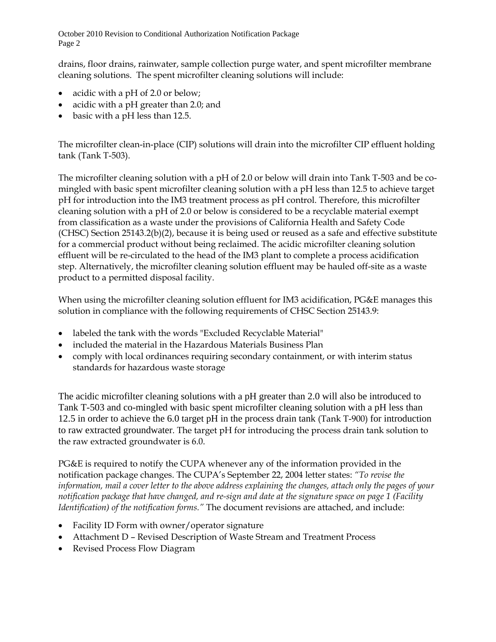October 2010 Revision to Conditional Authorization Notification Package Page 2

drains, floor drains, rainwater, sample collection purge water, and spent microfilter membrane cleaning solutions. The spent microfilter cleaning solutions will include:

- acidic with a pH of 2.0 or below;
- acidic with a pH greater than 2.0; and
- basic with a pH less than 12.5.

The microfilter clean-in-place (CIP) solutions will drain into the microfilter CIP effluent holding tank (Tank T-503).

The microfilter cleaning solution with a pH of 2.0 or below will drain into Tank T-503 and be comingled with basic spent microfilter cleaning solution with a pH less than 12.5 to achieve target pH for introduction into the IM3 treatment process as pH control. Therefore, this microfilter cleaning solution with a pH of 2.0 or below is considered to be a recyclable material exempt from classification as a waste under the provisions of California Health and Safety Code (CHSC) Section 25143.2(b)(2), because it is being used or reused as a safe and effective substitute for a commercial product without being reclaimed. The acidic microfilter cleaning solution effluent will be re-circulated to the head of the IM3 plant to complete a process acidification step. Alternatively, the microfilter cleaning solution effluent may be hauled off-site as a waste product to a permitted disposal facility.

When using the microfilter cleaning solution effluent for IM3 acidification, PG&E manages this solution in compliance with the following requirements of CHSC Section 25143.9:

- labeled the tank with the words "Excluded Recyclable Material"
- included the material in the Hazardous Materials Business Plan
- comply with local ordinances requiring secondary containment, or with interim status standards for hazardous waste storage

The acidic microfilter cleaning solutions with a pH greater than 2.0 will also be introduced to Tank T-503 and co-mingled with basic spent microfilter cleaning solution with a pH less than 12.5 in order to achieve the 6.0 target pH in the process drain tank (Tank T-900) for introduction to raw extracted groundwater. The target pH for introducing the process drain tank solution to the raw extracted groundwater is 6.0.

PG&E is required to notify the CUPA whenever any of the information provided in the notification package changes. The CUPA's September 22, 2004 letter states: *"To revise the information, mail a cover letter to the above address explaining the changes, attach only the pages of your notification package that have changed, and re-sign and date at the signature space on page 1 (Facility Identification) of the notification forms."* The document revisions are attached, and include:

- Facility ID Form with owner/operator signature
- Attachment D Revised Description of Waste Stream and Treatment Process
- Revised Process Flow Diagram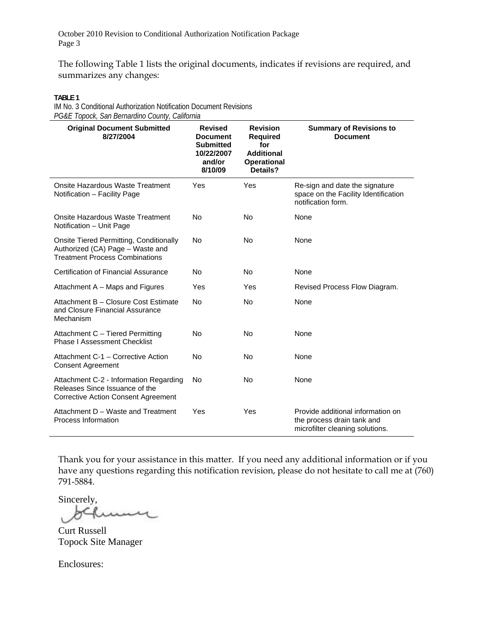October 2010 Revision to Conditional Authorization Notification Package Page 3

The following Table 1 lists the original documents, indicates if revisions are required, and summarizes any changes:

**TABLE 1** 

IM No. 3 Conditional Authorization Notification Document Revisions *PG&E Topock, San Bernardino County, California* 

| $550.7$ san $251.1$ an an $550.7$<br><b>Original Document Submitted</b><br>8/27/2004                                   | <b>Revised</b><br><b>Document</b><br><b>Submitted</b><br>10/22/2007<br>and/or<br>8/10/09 | <b>Revision</b><br><b>Required</b><br>for<br><b>Additional</b><br><b>Operational</b><br>Details? | <b>Summary of Revisions to</b><br><b>Document</b>                                                  |
|------------------------------------------------------------------------------------------------------------------------|------------------------------------------------------------------------------------------|--------------------------------------------------------------------------------------------------|----------------------------------------------------------------------------------------------------|
| Onsite Hazardous Waste Treatment<br>Notification - Facility Page                                                       | Yes                                                                                      | Yes                                                                                              | Re-sign and date the signature<br>space on the Facility Identification<br>notification form.       |
| Onsite Hazardous Waste Treatment<br>Notification - Unit Page                                                           | No                                                                                       | No                                                                                               | None                                                                                               |
| Onsite Tiered Permitting, Conditionally<br>Authorized (CA) Page - Waste and<br><b>Treatment Process Combinations</b>   | No                                                                                       | No                                                                                               | None                                                                                               |
| Certification of Financial Assurance                                                                                   | No                                                                                       | <b>No</b>                                                                                        | None                                                                                               |
| Attachment A – Maps and Figures                                                                                        | Yes                                                                                      | Yes                                                                                              | Revised Process Flow Diagram.                                                                      |
| Attachment B - Closure Cost Estimate<br>and Closure Financial Assurance<br>Mechanism                                   | <b>No</b>                                                                                | <b>No</b>                                                                                        | None                                                                                               |
| Attachment C - Tiered Permitting<br><b>Phase I Assessment Checklist</b>                                                | No                                                                                       | <b>No</b>                                                                                        | None                                                                                               |
| Attachment C-1 - Corrective Action<br><b>Consent Agreement</b>                                                         | No                                                                                       | <b>No</b>                                                                                        | None                                                                                               |
| Attachment C-2 - Information Regarding<br>Releases Since Issuance of the<br><b>Corrective Action Consent Agreement</b> | No                                                                                       | <b>No</b>                                                                                        | None                                                                                               |
| Attachment D - Waste and Treatment<br>Process Information                                                              | Yes                                                                                      | Yes                                                                                              | Provide additional information on<br>the process drain tank and<br>microfilter cleaning solutions. |

Thank you for your assistance in this matter. If you need any additional information or if you have any questions regarding this notification revision, please do not hesitate to call me at (760) 791-5884.

Sincerely,  $\overline{\mathcal{M}}$ 

Curt Russell Topock Site Manager

Enclosures: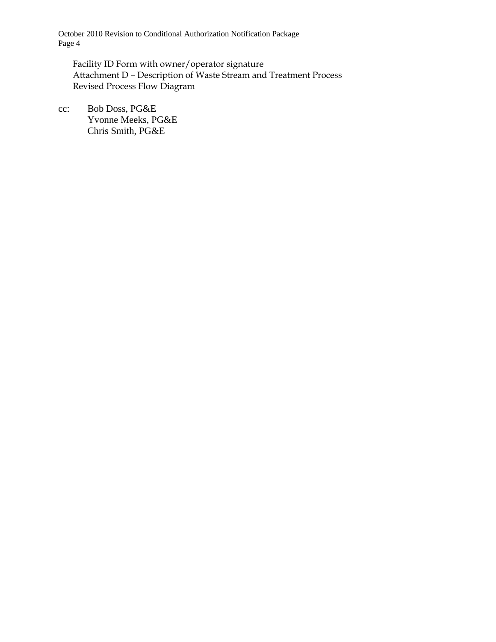October 2010 Revision to Conditional Authorization Notification Package Page 4

Facility ID Form with owner/operator signature Attachment D – Description of Waste Stream and Treatment Process Revised Process Flow Diagram

cc: Bob Doss, PG&E Yvonne Meeks, PG&E Chris Smith, PG&E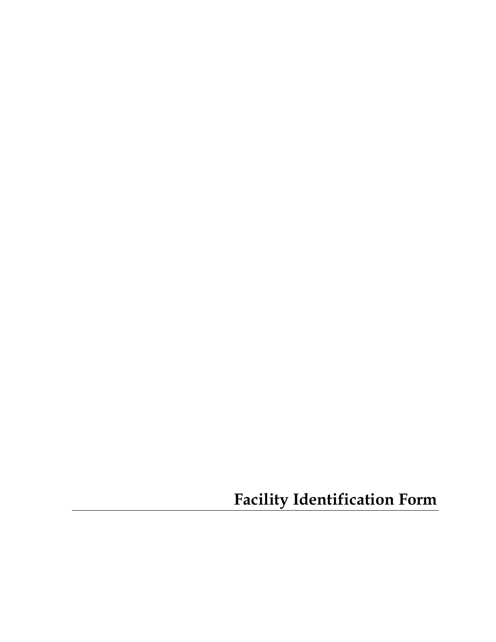**Facility Identification Form**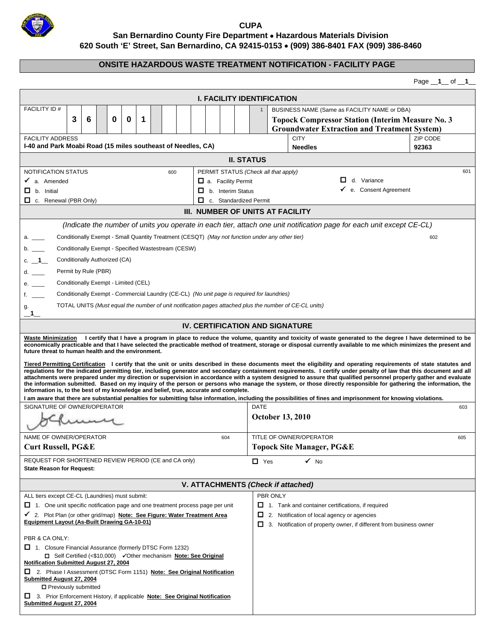

**CUPA San Bernardino County Fire Department Hazardous Materials Division 620 South 'E' Street, San Bernardino, CA 92415-0153 (909) 386-8401 FAX (909) 386-8460** 

## **ONSITE HAZARDOUS WASTE TREATMENT NOTIFICATION - FACILITY PAGE**

Page \_\_**1**\_\_ of \_\_**1**\_\_

| <b>I. FACILITY IDENTIFICATION</b>                                                                                                                                                                                                                                                                                                                                                                                                                                                                                                                                                                                                                                                                                                                                                                                                                                                                                                             |                                                                           |  |  |  |
|-----------------------------------------------------------------------------------------------------------------------------------------------------------------------------------------------------------------------------------------------------------------------------------------------------------------------------------------------------------------------------------------------------------------------------------------------------------------------------------------------------------------------------------------------------------------------------------------------------------------------------------------------------------------------------------------------------------------------------------------------------------------------------------------------------------------------------------------------------------------------------------------------------------------------------------------------|---------------------------------------------------------------------------|--|--|--|
| <b>FACILITY ID#</b><br>BUSINESS NAME (Same as FACILITY NAME or DBA)                                                                                                                                                                                                                                                                                                                                                                                                                                                                                                                                                                                                                                                                                                                                                                                                                                                                           |                                                                           |  |  |  |
| 3<br>6<br>0<br>0<br>1                                                                                                                                                                                                                                                                                                                                                                                                                                                                                                                                                                                                                                                                                                                                                                                                                                                                                                                         | <b>Topock Compressor Station (Interim Measure No. 3</b>                   |  |  |  |
| <b>Groundwater Extraction and Treatment System)</b>                                                                                                                                                                                                                                                                                                                                                                                                                                                                                                                                                                                                                                                                                                                                                                                                                                                                                           |                                                                           |  |  |  |
| <b>FACILITY ADDRESS</b>                                                                                                                                                                                                                                                                                                                                                                                                                                                                                                                                                                                                                                                                                                                                                                                                                                                                                                                       | <b>ZIP CODE</b><br><b>CITY</b>                                            |  |  |  |
| I-40 and Park Moabi Road (15 miles southeast of Needles, CA)                                                                                                                                                                                                                                                                                                                                                                                                                                                                                                                                                                                                                                                                                                                                                                                                                                                                                  | 92363<br><b>Needles</b>                                                   |  |  |  |
| <b>II. STATUS</b>                                                                                                                                                                                                                                                                                                                                                                                                                                                                                                                                                                                                                                                                                                                                                                                                                                                                                                                             |                                                                           |  |  |  |
| <b>NOTIFICATION STATUS</b><br>600                                                                                                                                                                                                                                                                                                                                                                                                                                                                                                                                                                                                                                                                                                                                                                                                                                                                                                             | PERMIT STATUS (Check all that apply)<br>601                               |  |  |  |
| a. Facility Permit<br>$\checkmark$ a. Amended                                                                                                                                                                                                                                                                                                                                                                                                                                                                                                                                                                                                                                                                                                                                                                                                                                                                                                 | $\Box$ d. Variance                                                        |  |  |  |
| $\Box$ b. Initial<br>◻<br>b. Interim Status                                                                                                                                                                                                                                                                                                                                                                                                                                                                                                                                                                                                                                                                                                                                                                                                                                                                                                   | ✓<br>e. Consent Agreement                                                 |  |  |  |
| □<br>C. Renewal (PBR Only)<br>c. Standardized Permit<br>III. NUMBER OF UNITS AT FACILITY                                                                                                                                                                                                                                                                                                                                                                                                                                                                                                                                                                                                                                                                                                                                                                                                                                                      |                                                                           |  |  |  |
|                                                                                                                                                                                                                                                                                                                                                                                                                                                                                                                                                                                                                                                                                                                                                                                                                                                                                                                                               |                                                                           |  |  |  |
| (Indicate the number of units you operate in each tier, attach one unit notification page for each unit except CE-CL)                                                                                                                                                                                                                                                                                                                                                                                                                                                                                                                                                                                                                                                                                                                                                                                                                         |                                                                           |  |  |  |
| Conditionally Exempt - Small Quantity Treatment (CESQT) (May not function under any other tier)<br>602                                                                                                                                                                                                                                                                                                                                                                                                                                                                                                                                                                                                                                                                                                                                                                                                                                        |                                                                           |  |  |  |
| b. $\_\_$<br>Conditionally Exempt - Specified Wastestream (CESW)                                                                                                                                                                                                                                                                                                                                                                                                                                                                                                                                                                                                                                                                                                                                                                                                                                                                              |                                                                           |  |  |  |
| c. $-1$<br>Conditionally Authorized (CA)                                                                                                                                                                                                                                                                                                                                                                                                                                                                                                                                                                                                                                                                                                                                                                                                                                                                                                      |                                                                           |  |  |  |
| d.<br>Permit by Rule (PBR)                                                                                                                                                                                                                                                                                                                                                                                                                                                                                                                                                                                                                                                                                                                                                                                                                                                                                                                    |                                                                           |  |  |  |
| e.<br>Conditionally Exempt - Limited (CEL)                                                                                                                                                                                                                                                                                                                                                                                                                                                                                                                                                                                                                                                                                                                                                                                                                                                                                                    |                                                                           |  |  |  |
| f. $\qquad$<br>Conditionally Exempt - Commercial Laundry (CE-CL) (No unit page is required for laundries)                                                                                                                                                                                                                                                                                                                                                                                                                                                                                                                                                                                                                                                                                                                                                                                                                                     |                                                                           |  |  |  |
| TOTAL UNITS (Must equal the number of unit notification pages attached plus the number of CE-CL units)<br>g.                                                                                                                                                                                                                                                                                                                                                                                                                                                                                                                                                                                                                                                                                                                                                                                                                                  |                                                                           |  |  |  |
| $\_$ 1 $\_$                                                                                                                                                                                                                                                                                                                                                                                                                                                                                                                                                                                                                                                                                                                                                                                                                                                                                                                                   |                                                                           |  |  |  |
| <b>IV. CERTIFICATION AND SIGNATURE</b>                                                                                                                                                                                                                                                                                                                                                                                                                                                                                                                                                                                                                                                                                                                                                                                                                                                                                                        |                                                                           |  |  |  |
| I certify that I have a program in place to reduce the volume, quantity and toxicity of waste generated to the degree I have determined to be<br><b>Waste Minimization</b><br>economically practicable and that I have selected the practicable method of treatment, storage or disposal currently available to me which minimizes the present and<br>future threat to human health and the environment.                                                                                                                                                                                                                                                                                                                                                                                                                                                                                                                                      |                                                                           |  |  |  |
| Tiered Permitting Certification I certify that the unit or units described in these documents meet the eligibility and operating requirements of state statutes and<br>regulations for the indicated permitting tier, including generator and secondary containment requirements. I certify under penalty of law that this document and all<br>attachments were prepared under my direction or supervision in accordance with a system designed to assure that qualified personnel properly gather and evaluate<br>the information submitted. Based on my inquiry of the person or persons who manage the system, or those directly responsible for gathering the information, the<br>information is, to the best of my knowledge and belief, true, accurate and complete.<br>I am aware that there are substantial penalties for submitting false information, including the possibilities of fines and imprisonment for knowing violations. |                                                                           |  |  |  |
| SIGNATURE OF OWNER/OPERATOR                                                                                                                                                                                                                                                                                                                                                                                                                                                                                                                                                                                                                                                                                                                                                                                                                                                                                                                   | <b>DATE</b><br>603                                                        |  |  |  |
| umy                                                                                                                                                                                                                                                                                                                                                                                                                                                                                                                                                                                                                                                                                                                                                                                                                                                                                                                                           | <b>October 13, 2010</b>                                                   |  |  |  |
| NAME OF OWNER/OPERATOR<br>604                                                                                                                                                                                                                                                                                                                                                                                                                                                                                                                                                                                                                                                                                                                                                                                                                                                                                                                 | TITLE OF OWNER/OPERATOR<br>605                                            |  |  |  |
| <b>Curt Russell, PG&amp;E</b>                                                                                                                                                                                                                                                                                                                                                                                                                                                                                                                                                                                                                                                                                                                                                                                                                                                                                                                 | Topock Site Manager, PG&E                                                 |  |  |  |
| REQUEST FOR SHORTENED REVIEW PERIOD (CE and CA only)<br>$\checkmark$ No<br>$\Box$ Yes<br><b>State Reason for Request:</b>                                                                                                                                                                                                                                                                                                                                                                                                                                                                                                                                                                                                                                                                                                                                                                                                                     |                                                                           |  |  |  |
| V. ATTACHMENTS (Check if attached)                                                                                                                                                                                                                                                                                                                                                                                                                                                                                                                                                                                                                                                                                                                                                                                                                                                                                                            |                                                                           |  |  |  |
| ALL tiers except CE-CL (Laundries) must submit:                                                                                                                                                                                                                                                                                                                                                                                                                                                                                                                                                                                                                                                                                                                                                                                                                                                                                               | PBR ONLY                                                                  |  |  |  |
| $\Box$ 1. One unit specific notification page and one treatment process page per unit                                                                                                                                                                                                                                                                                                                                                                                                                                                                                                                                                                                                                                                                                                                                                                                                                                                         | $\Box$ 1. Tank and container certifications, if required                  |  |  |  |
| √ 2. Plot Plan (or other grid/map) Note: See Figure: Water Treatment Area                                                                                                                                                                                                                                                                                                                                                                                                                                                                                                                                                                                                                                                                                                                                                                                                                                                                     | 2. Notification of local agency or agencies<br>0                          |  |  |  |
| <b>Equipment Layout (As-Built Drawing GA-10-01)</b>                                                                                                                                                                                                                                                                                                                                                                                                                                                                                                                                                                                                                                                                                                                                                                                                                                                                                           | 3. Notification of property owner, if different from business owner<br>O. |  |  |  |
| PBR & CA ONLY:                                                                                                                                                                                                                                                                                                                                                                                                                                                                                                                                                                                                                                                                                                                                                                                                                                                                                                                                |                                                                           |  |  |  |
| 1. Closure Financial Assurance (formerly DTSC Form 1232)<br><b>Notification Submitted August 27, 2004</b>                                                                                                                                                                                                                                                                                                                                                                                                                                                                                                                                                                                                                                                                                                                                                                                                                                     |                                                                           |  |  |  |
| □ 2. Phase I Assessment (DTSC Form 1151) Note: See Original Notification<br>Submitted August 27, 2004                                                                                                                                                                                                                                                                                                                                                                                                                                                                                                                                                                                                                                                                                                                                                                                                                                         |                                                                           |  |  |  |
| Previously submitted<br>3. Prior Enforcement History, if applicable Note: See Original Notification<br>Submitted August 27, 2004                                                                                                                                                                                                                                                                                                                                                                                                                                                                                                                                                                                                                                                                                                                                                                                                              |                                                                           |  |  |  |
|                                                                                                                                                                                                                                                                                                                                                                                                                                                                                                                                                                                                                                                                                                                                                                                                                                                                                                                                               |                                                                           |  |  |  |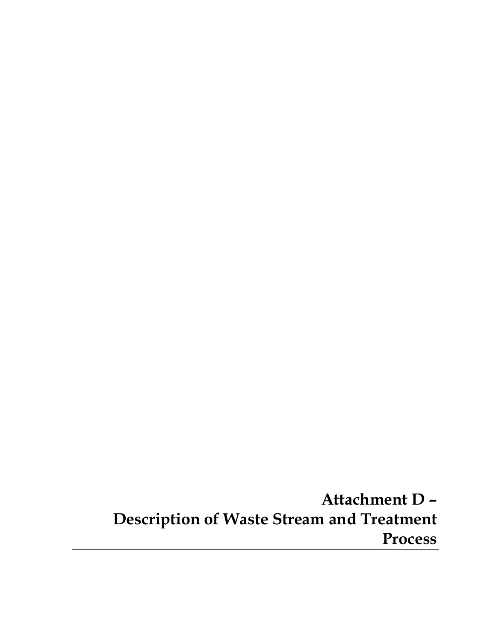**Attachment D – Description of Waste Stream and Treatment Process**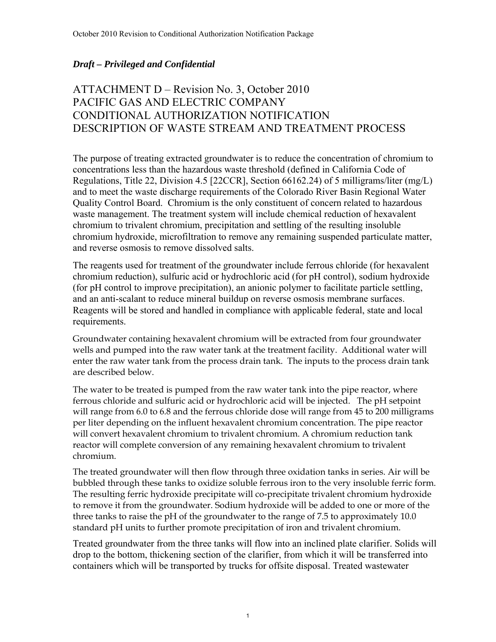## *Draft – Privileged and Confidential*

## ATTACHMENT D – Revision No. 3, October 2010 PACIFIC GAS AND ELECTRIC COMPANY CONDITIONAL AUTHORIZATION NOTIFICATION DESCRIPTION OF WASTE STREAM AND TREATMENT PROCESS

The purpose of treating extracted groundwater is to reduce the concentration of chromium to concentrations less than the hazardous waste threshold (defined in California Code of Regulations, Title 22, Division 4.5 [22CCR], Section 66162.24) of 5 milligrams/liter (mg/L) and to meet the waste discharge requirements of the Colorado River Basin Regional Water Quality Control Board. Chromium is the only constituent of concern related to hazardous waste management. The treatment system will include chemical reduction of hexavalent chromium to trivalent chromium, precipitation and settling of the resulting insoluble chromium hydroxide, microfiltration to remove any remaining suspended particulate matter, and reverse osmosis to remove dissolved salts.

The reagents used for treatment of the groundwater include ferrous chloride (for hexavalent chromium reduction), sulfuric acid or hydrochloric acid (for pH control), sodium hydroxide (for pH control to improve precipitation), an anionic polymer to facilitate particle settling, and an anti-scalant to reduce mineral buildup on reverse osmosis membrane surfaces. Reagents will be stored and handled in compliance with applicable federal, state and local requirements.

Groundwater containing hexavalent chromium will be extracted from four groundwater wells and pumped into the raw water tank at the treatment facility. Additional water will enter the raw water tank from the process drain tank. The inputs to the process drain tank are described below.

The water to be treated is pumped from the raw water tank into the pipe reactor, where ferrous chloride and sulfuric acid or hydrochloric acid will be injected. The pH setpoint will range from 6.0 to 6.8 and the ferrous chloride dose will range from 45 to 200 milligrams per liter depending on the influent hexavalent chromium concentration. The pipe reactor will convert hexavalent chromium to trivalent chromium. A chromium reduction tank reactor will complete conversion of any remaining hexavalent chromium to trivalent chromium.

The treated groundwater will then flow through three oxidation tanks in series. Air will be bubbled through these tanks to oxidize soluble ferrous iron to the very insoluble ferric form. The resulting ferric hydroxide precipitate will co-precipitate trivalent chromium hydroxide to remove it from the groundwater. Sodium hydroxide will be added to one or more of the three tanks to raise the pH of the groundwater to the range of 7.5 to approximately 10.0 standard pH units to further promote precipitation of iron and trivalent chromium.

Treated groundwater from the three tanks will flow into an inclined plate clarifier. Solids will drop to the bottom, thickening section of the clarifier, from which it will be transferred into containers which will be transported by trucks for offsite disposal. Treated wastewater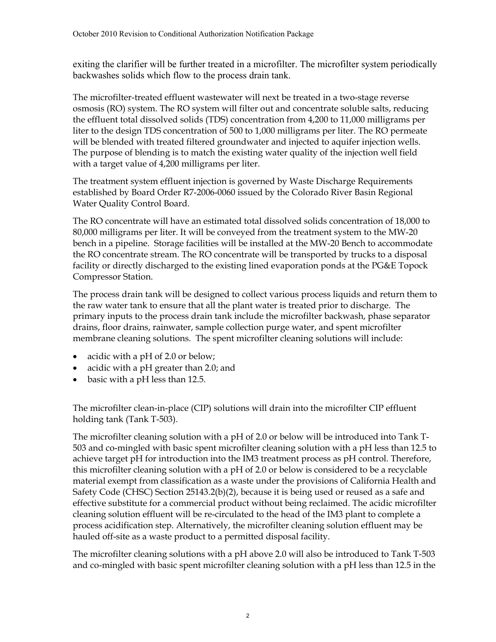exiting the clarifier will be further treated in a microfilter. The microfilter system periodically backwashes solids which flow to the process drain tank.

The microfilter-treated effluent wastewater will next be treated in a two-stage reverse osmosis (RO) system. The RO system will filter out and concentrate soluble salts, reducing the effluent total dissolved solids (TDS) concentration from 4,200 to 11,000 milligrams per liter to the design TDS concentration of 500 to 1,000 milligrams per liter. The RO permeate will be blended with treated filtered groundwater and injected to aquifer injection wells. The purpose of blending is to match the existing water quality of the injection well field with a target value of 4,200 milligrams per liter.

The treatment system effluent injection is governed by Waste Discharge Requirements established by Board Order R7-2006-0060 issued by the Colorado River Basin Regional Water Quality Control Board.

The RO concentrate will have an estimated total dissolved solids concentration of 18,000 to 80,000 milligrams per liter. It will be conveyed from the treatment system to the MW-20 bench in a pipeline. Storage facilities will be installed at the MW-20 Bench to accommodate the RO concentrate stream. The RO concentrate will be transported by trucks to a disposal facility or directly discharged to the existing lined evaporation ponds at the PG&E Topock Compressor Station.

The process drain tank will be designed to collect various process liquids and return them to the raw water tank to ensure that all the plant water is treated prior to discharge. The primary inputs to the process drain tank include the microfilter backwash, phase separator drains, floor drains, rainwater, sample collection purge water, and spent microfilter membrane cleaning solutions. The spent microfilter cleaning solutions will include:

- acidic with a pH of 2.0 or below;
- acidic with a pH greater than 2.0; and
- basic with a pH less than 12.5.

The microfilter clean-in-place (CIP) solutions will drain into the microfilter CIP effluent holding tank (Tank T-503).

The microfilter cleaning solution with a pH of 2.0 or below will be introduced into Tank T-503 and co-mingled with basic spent microfilter cleaning solution with a pH less than 12.5 to achieve target pH for introduction into the IM3 treatment process as pH control. Therefore, this microfilter cleaning solution with a pH of 2.0 or below is considered to be a recyclable material exempt from classification as a waste under the provisions of California Health and Safety Code (CHSC) Section 25143.2(b)(2), because it is being used or reused as a safe and effective substitute for a commercial product without being reclaimed. The acidic microfilter cleaning solution effluent will be re-circulated to the head of the IM3 plant to complete a process acidification step. Alternatively, the microfilter cleaning solution effluent may be hauled off-site as a waste product to a permitted disposal facility.

The microfilter cleaning solutions with a pH above 2.0 will also be introduced to Tank T-503 and co-mingled with basic spent microfilter cleaning solution with a pH less than 12.5 in the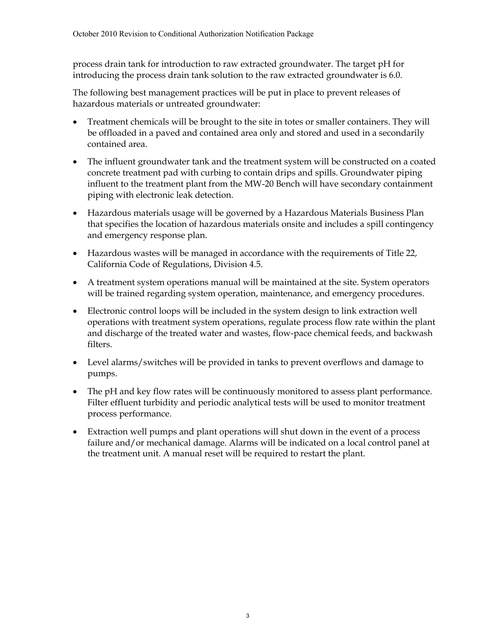process drain tank for introduction to raw extracted groundwater. The target pH for introducing the process drain tank solution to the raw extracted groundwater is 6.0.

The following best management practices will be put in place to prevent releases of hazardous materials or untreated groundwater:

- Treatment chemicals will be brought to the site in totes or smaller containers. They will be offloaded in a paved and contained area only and stored and used in a secondarily contained area.
- The influent groundwater tank and the treatment system will be constructed on a coated concrete treatment pad with curbing to contain drips and spills. Groundwater piping influent to the treatment plant from the MW-20 Bench will have secondary containment piping with electronic leak detection.
- Hazardous materials usage will be governed by a Hazardous Materials Business Plan that specifies the location of hazardous materials onsite and includes a spill contingency and emergency response plan.
- Hazardous wastes will be managed in accordance with the requirements of Title 22, California Code of Regulations, Division 4.5.
- A treatment system operations manual will be maintained at the site. System operators will be trained regarding system operation, maintenance, and emergency procedures.
- Electronic control loops will be included in the system design to link extraction well operations with treatment system operations, regulate process flow rate within the plant and discharge of the treated water and wastes, flow-pace chemical feeds, and backwash filters.
- Level alarms/switches will be provided in tanks to prevent overflows and damage to pumps.
- The pH and key flow rates will be continuously monitored to assess plant performance. Filter effluent turbidity and periodic analytical tests will be used to monitor treatment process performance.
- Extraction well pumps and plant operations will shut down in the event of a process failure and/or mechanical damage. Alarms will be indicated on a local control panel at the treatment unit. A manual reset will be required to restart the plant.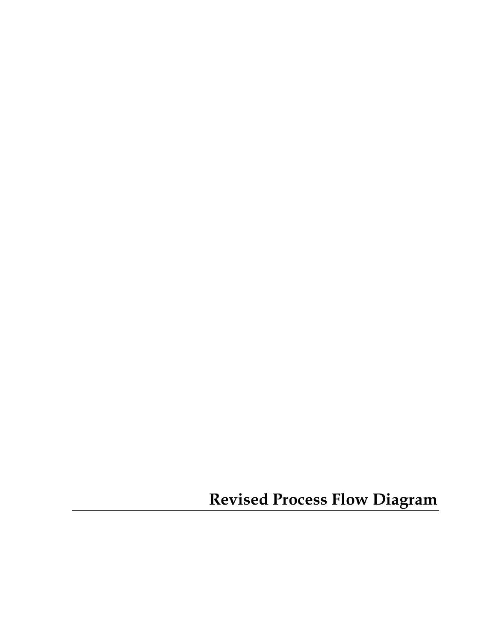**Revised Process Flow Diagram**